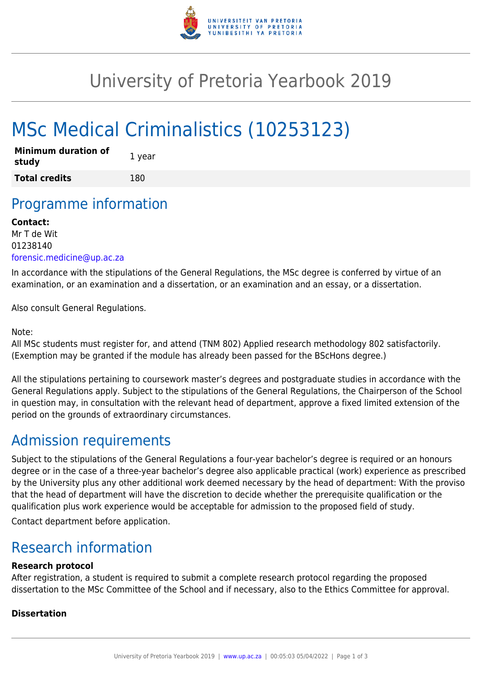

## University of Pretoria Yearbook 2019

# MSc Medical Criminalistics (10253123)

| Minimum duration of<br>study | 1 year |
|------------------------------|--------|
| <b>Total credits</b>         | 180    |

### Programme information

#### **Contact:**

Mr T de Wit 01238140 [forensic.medicine@up.ac.za](mailto:forensic.medicine@up.ac.za)

In accordance with the stipulations of the General Regulations, the MSc degree is conferred by virtue of an examination, or an examination and a dissertation, or an examination and an essay, or a dissertation.

Also consult General Regulations.

#### Note:

All MSc students must register for, and attend (TNM 802) Applied research methodology 802 satisfactorily. (Exemption may be granted if the module has already been passed for the BScHons degree.)

All the stipulations pertaining to coursework master's degrees and postgraduate studies in accordance with the General Regulations apply. Subject to the stipulations of the General Regulations, the Chairperson of the School in question may, in consultation with the relevant head of department, approve a fixed limited extension of the period on the grounds of extraordinary circumstances.

### Admission requirements

Subject to the stipulations of the General Regulations a four-year bachelor's degree is required or an honours degree or in the case of a three-year bachelor's degree also applicable practical (work) experience as prescribed by the University plus any other additional work deemed necessary by the head of department: With the proviso that the head of department will have the discretion to decide whether the prerequisite qualification or the qualification plus work experience would be acceptable for admission to the proposed field of study.

Contact department before application.

### Research information

#### **Research protocol**

After registration, a student is required to submit a complete research protocol regarding the proposed dissertation to the MSc Committee of the School and if necessary, also to the Ethics Committee for approval.

#### **Dissertation**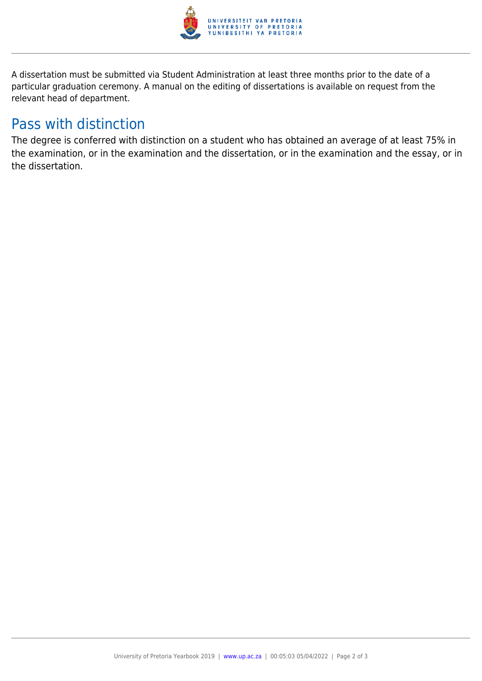

A dissertation must be submitted via Student Administration at least three months prior to the date of a particular graduation ceremony. A manual on the editing of dissertations is available on request from the relevant head of department.

### Pass with distinction

The degree is conferred with distinction on a student who has obtained an average of at least 75% in the examination, or in the examination and the dissertation, or in the examination and the essay, or in the dissertation.